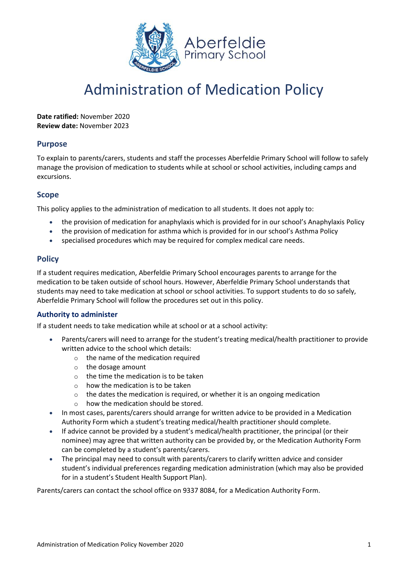

# Administration of Medication Policy

**Date ratified:** November 2020 **Review date:** November 2023

## **Purpose**

To explain to parents/carers, students and staff the processes Aberfeldie Primary School will follow to safely manage the provision of medication to students while at school or school activities, including camps and excursions.

# **Scope**

This policy applies to the administration of medication to all students. It does not apply to:

- the provision of medication for anaphylaxis which is provided for in our school's Anaphylaxis Policy
- the provision of medication for asthma which is provided for in our school's Asthma Policy
- specialised procedures which may be required for complex medical care needs.

## **Policy**

If a student requires medication, Aberfeldie Primary School encourages parents to arrange for the medication to be taken outside of school hours. However, Aberfeldie Primary School understands that students may need to take medication at school or school activities. To support students to do so safely, Aberfeldie Primary School will follow the procedures set out in this policy.

## **Authority to administer**

If a student needs to take medication while at school or at a school activity:

- Parents/carers will need to arrange for the student's treating medical/health practitioner to provide written advice to the school which details:
	- o the name of the medication required
	- o the dosage amount
	- o the time the medication is to be taken
	- o how the medication is to be taken
	- o the dates the medication is required, or whether it is an ongoing medication
	- o how the medication should be stored.
- In most cases, parents/carers should arrange for written advice to be provided in a Medication Authority Form which a student's treating medical/health practitioner should complete.
- If advice cannot be provided by a student's medical/health practitioner, the principal (or their nominee) may agree that written authority can be provided by, or the Medication Authority Form can be completed by a student's parents/carers.
- The principal may need to consult with parents/carers to clarify written advice and consider student's individual preferences regarding medication administration (which may also be provided for in a student's Student Health Support Plan).

Parents/carers can contact the school office on 9337 8084, for a Medication Authority Form.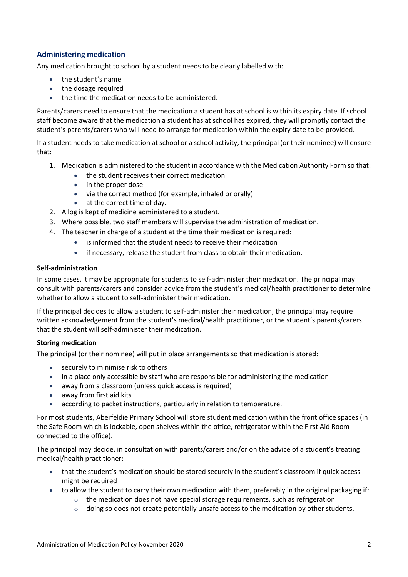# **Administering medication**

Any medication brought to school by a student needs to be clearly labelled with:

- the student's name
- the dosage required
- the time the medication needs to be administered.

Parents/carers need to ensure that the medication a student has at school is within its expiry date. If school staff become aware that the medication a student has at school has expired, they will promptly contact the student's parents/carers who will need to arrange for medication within the expiry date to be provided.

If a student needs to take medication at school or a school activity, the principal (or their nominee) will ensure that:

- 1. Medication is administered to the student in accordance with the Medication Authority Form so that:
	- the student receives their correct medication
	- in the proper dose
	- via the correct method (for example, inhaled or orally)
	- at the correct time of day.
- 2. A log is kept of medicine administered to a student.
- 3. Where possible, two staff members will supervise the administration of medication.
- 4. The teacher in charge of a student at the time their medication is required:
	- is informed that the student needs to receive their medication
	- if necessary, release the student from class to obtain their medication.

#### **Self-administration**

In some cases, it may be appropriate for students to self-administer their medication. The principal may consult with parents/carers and consider advice from the student's medical/health practitioner to determine whether to allow a student to self-administer their medication.

If the principal decides to allow a student to self-administer their medication, the principal may require written acknowledgement from the student's medical/health practitioner, or the student's parents/carers that the student will self-administer their medication.

#### **Storing medication**

The principal (or their nominee) will put in place arrangements so that medication is stored:

- securely to minimise risk to others
- in a place only accessible by staff who are responsible for administering the medication
- away from a classroom (unless quick access is required)
- away from first aid kits
- according to packet instructions, particularly in relation to temperature.

For most students, Aberfeldie Primary School will store student medication within the front office spaces (in the Safe Room which is lockable, open shelves within the office, refrigerator within the First Aid Room connected to the office).

The principal may decide, in consultation with parents/carers and/or on the advice of a student's treating medical/health practitioner:

- that the student's medication should be stored securely in the student's classroom if quick access might be required
- to allow the student to carry their own medication with them, preferably in the original packaging if:
	- $\circ$  the medication does not have special storage requirements, such as refrigeration
	- $\circ$  doing so does not create potentially unsafe access to the medication by other students.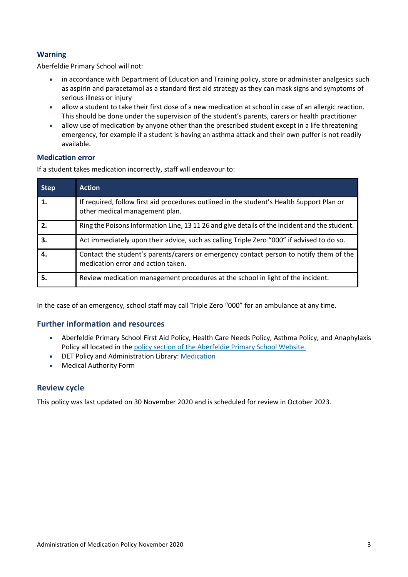# **Warning**

Aberfeldie Primary School will not:

- in accordance with Department of Education and Training policy, store or administer analgesics such as aspirin and paracetamol as a standard first aid strategy as they can mask signs and symptoms of serious illness or injury
- allow a student to take their first dose of a new medication at school in case of an allergic reaction. This should be done under the supervision of the student's parents, carers or health practitioner
- allow use of medication by anyone other than the prescribed student except in a life threatening emergency, for example if a student is having an asthma attack and their own puffer is not readily available.

### **Medication error**

If a student takes medication incorrectly, staff will endeavour to:

| <b>Step</b> | <b>Action</b>                                                                                                                |  |  |
|-------------|------------------------------------------------------------------------------------------------------------------------------|--|--|
| 1.          | If required, follow first aid procedures outlined in the student's Health Support Plan or<br>other medical management plan.  |  |  |
| 2.          | Ring the Poisons Information Line, 13 11 26 and give details of the incident and the student.                                |  |  |
| 3.          | Act immediately upon their advice, such as calling Triple Zero "000" if advised to do so.                                    |  |  |
| 4.          | Contact the student's parents/carers or emergency contact person to notify them of the<br>medication error and action taken. |  |  |
| 5.          | Review medication management procedures at the school in light of the incident.                                              |  |  |

In the case of an emergency, school staff may call Triple Zero "000" for an ambulance at any time.

# **Further information and resources**

- Aberfeldie Primary School First Aid Policy, Health Care Needs Policy, Asthma Policy, and Anaphylaxis Policy all located in the [policy section of the Aberfeldie Primary School Website.](http://www.aberfeldieps.vic.edu.au/about.php?id=13)
- DET Policy and Administration Library: [Medication](https://www2.education.vic.gov.au/pal/medication/policy)
- Medical Authority Form

## **Review cycle**

This policy was last updated on 30 November 2020 and is scheduled for review in October 2023.